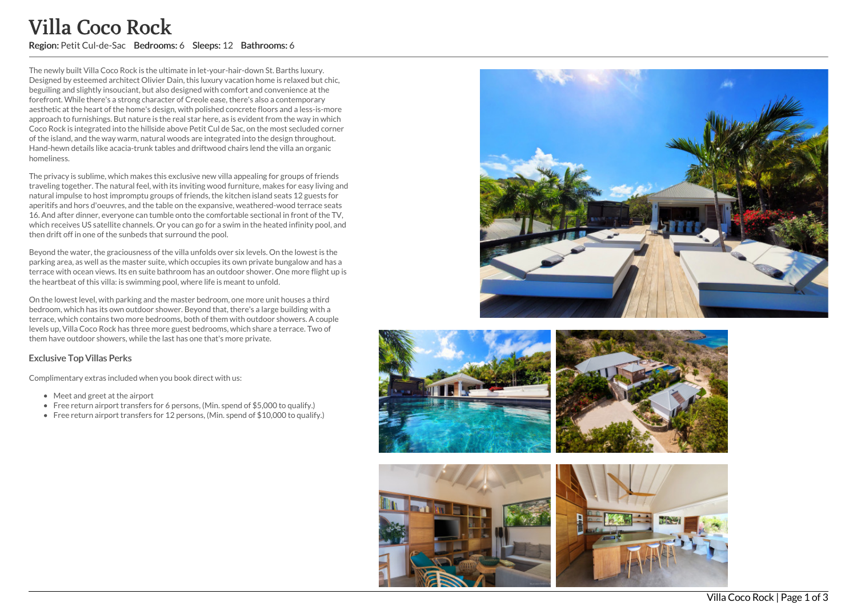## Villa Coco Rock Region: Petit Cul-de-Sac Bedrooms: 6 Sleeps: 12 Bathrooms: 6

The newly built Villa Coco Rock is the ultimate in let-your-hair-down St. Barths luxury. Designed by esteemed architect Olivier Dain, this luxury vacation home is relaxed but chic, beguiling and slightly insouciant, but also designed with comfort and convenience at the forefront. While there's a strong character of Creole ease, there's also a contemporary aesthetic at the heart of the home's design, with polished concrete floors and a less-is-more approach to furnishings. But nature is the real star here, as is evident from the way in which Coco Rock is integrated into the hillside above Petit Cul de Sac, on the most secluded corner of the island, and the way warm, natural woods are integrated into the design throughout. Hand-hewn details like acacia-trunk tables and driftwood chairs lend the villa an organic homeliness.

The privacy is sublime, which makes this exclusive new villa appealing for groups of friends traveling together. The natural feel, with its inviting wood furniture, makes for easy living and natural impulse to host impromptu groups of friends, the kitchen island seats 12 guests for aperitifs and hors d'oeuvres, and the table on the expansive, weathered-wood terrace seats 16. And after dinner, everyone can tumble onto the comfortable sectional in front of the TV, which receives US satellite channels. Or you can go for a swim in the heated infinity pool, and then drift off in one of the sunbeds that surround the pool.

Beyond the water, the graciousness of the villa unfolds over six levels. On the lowest is the parking area, as well as the master suite, which occupies its own private bungalow and has a terrace with ocean views. Its en suite bathroom has an outdoor shower. One more flight up is the heartbeat of this villa: is swimming pool, where life is meant to unfold.

On the lowest level, with parking and the master bedroom, one more unit houses a third bedroom, which has its own outdoor shower. Beyond that, there's a large building with a terrace, which contains two more bedrooms, both of them with outdoor showers. A couple levels up, Villa Coco Rock has three more guest bedrooms, which share a terrace. Two of them have outdoor showers, while the last has one that's more private.

## Exclusive Top Villas Perks

Complimentary extras included when you book direct with us:

- Meet and greet at the airport
- Free return airport transfers for 6 persons, (Min. spend of \$5,000 to qualify.)
- Free return airport transfers for 12 persons, (Min. spend of \$10,000 to qualify.)







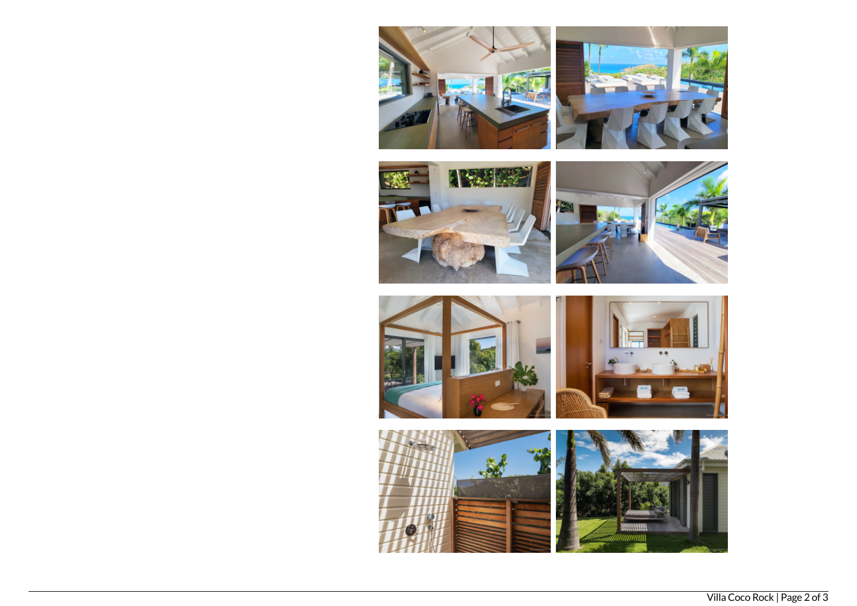